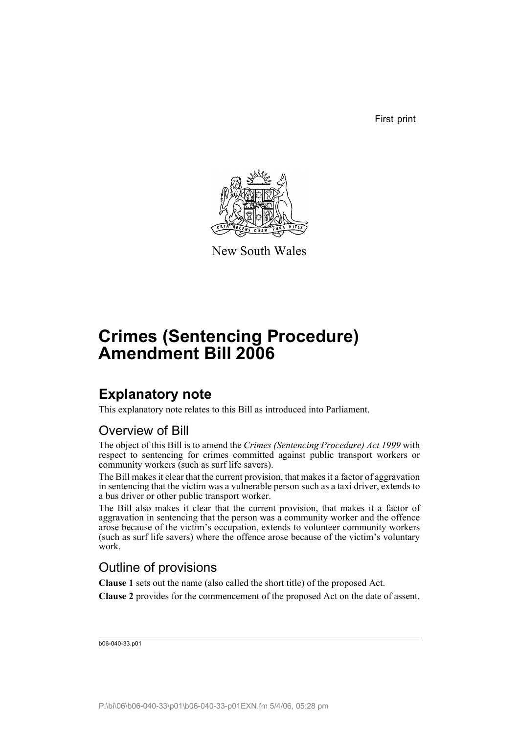First print



New South Wales

# **Crimes (Sentencing Procedure) Amendment Bill 2006**

## **Explanatory note**

This explanatory note relates to this Bill as introduced into Parliament.

### Overview of Bill

The object of this Bill is to amend the *Crimes (Sentencing Procedure) Act 1999* with respect to sentencing for crimes committed against public transport workers or community workers (such as surf life savers).

The Bill makes it clear that the current provision, that makes it a factor of aggravation in sentencing that the victim was a vulnerable person such as a taxi driver, extends to a bus driver or other public transport worker.

The Bill also makes it clear that the current provision, that makes it a factor of aggravation in sentencing that the person was a community worker and the offence arose because of the victim's occupation, extends to volunteer community workers (such as surf life savers) where the offence arose because of the victim's voluntary work.

### Outline of provisions

**Clause 1** sets out the name (also called the short title) of the proposed Act.

**Clause 2** provides for the commencement of the proposed Act on the date of assent.

b06-040-33.p01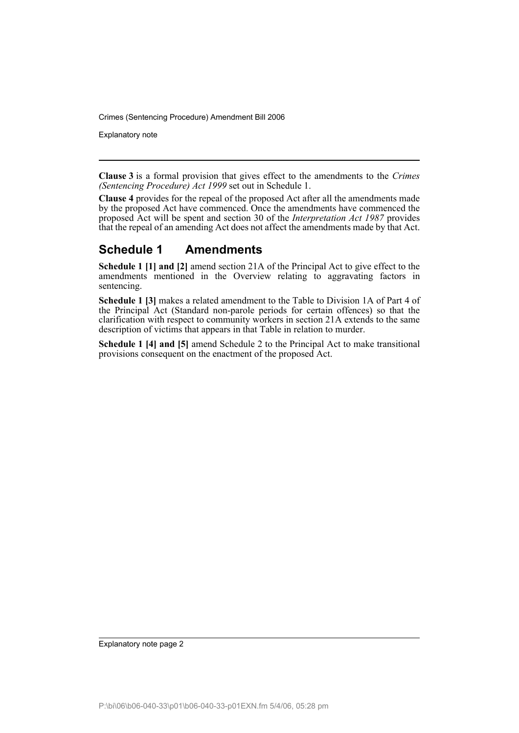Explanatory note

**Clause 3** is a formal provision that gives effect to the amendments to the *Crimes (Sentencing Procedure) Act 1999* set out in Schedule 1.

**Clause 4** provides for the repeal of the proposed Act after all the amendments made by the proposed Act have commenced. Once the amendments have commenced the proposed Act will be spent and section 30 of the *Interpretation Act 1987* provides that the repeal of an amending Act does not affect the amendments made by that Act.

#### **Schedule 1 Amendments**

**Schedule 1 [1] and [2]** amend section 21A of the Principal Act to give effect to the amendments mentioned in the Overview relating to aggravating factors in sentencing.

**Schedule 1 [3]** makes a related amendment to the Table to Division 1A of Part 4 of the Principal Act (Standard non-parole periods for certain offences) so that the clarification with respect to community workers in section 21A extends to the same description of victims that appears in that Table in relation to murder.

**Schedule 1 [4] and [5]** amend Schedule 2 to the Principal Act to make transitional provisions consequent on the enactment of the proposed Act.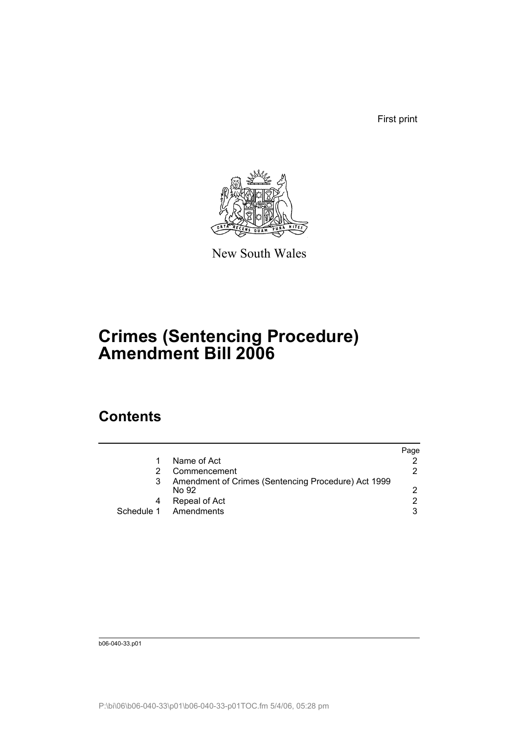First print



New South Wales

## **Crimes (Sentencing Procedure) Amendment Bill 2006**

### **Contents**

|                                                              | Page          |
|--------------------------------------------------------------|---------------|
| Name of Act                                                  |               |
| Commencement                                                 | 2             |
| Amendment of Crimes (Sentencing Procedure) Act 1999<br>No 92 |               |
| Repeal of Act                                                | $\mathcal{P}$ |
| Schedule 1 Amendments                                        | 3             |

b06-040-33.p01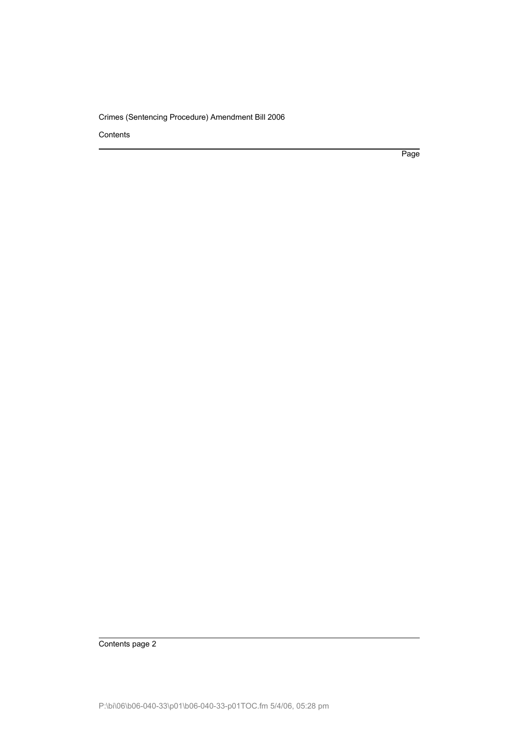Contents

Page

Contents page 2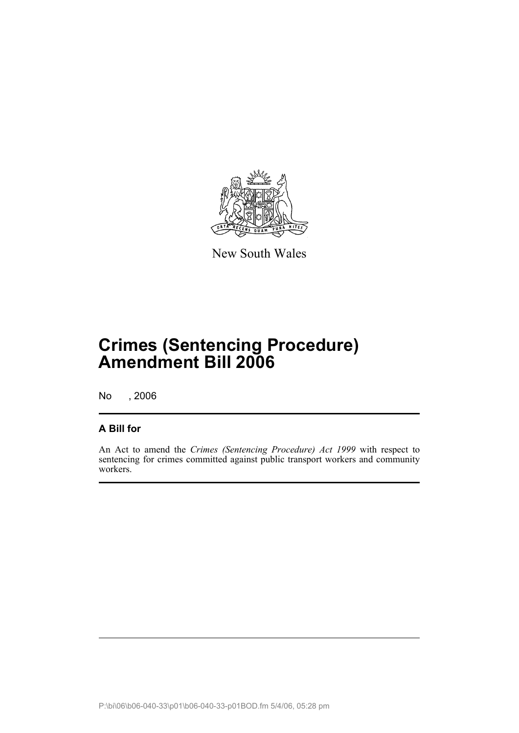

New South Wales

# **Crimes (Sentencing Procedure) Amendment Bill 2006**

No , 2006

#### **A Bill for**

An Act to amend the *Crimes (Sentencing Procedure) Act 1999* with respect to sentencing for crimes committed against public transport workers and community workers.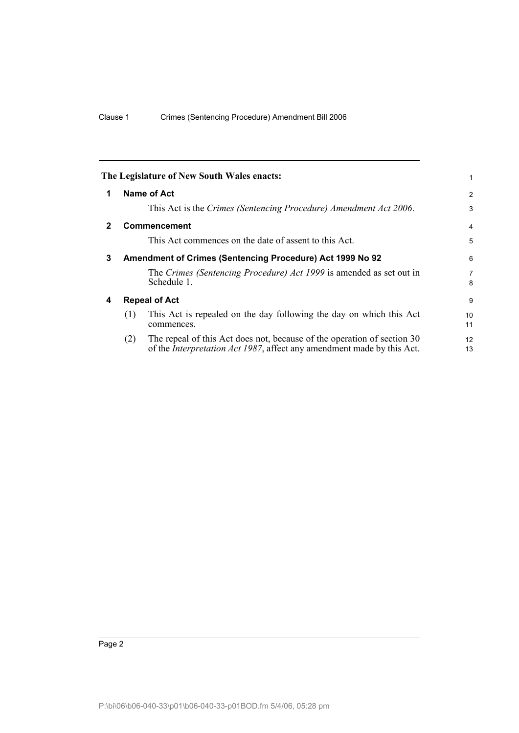<span id="page-5-3"></span><span id="page-5-2"></span><span id="page-5-1"></span><span id="page-5-0"></span>

|              | The Legislature of New South Wales enacts:                                                                                                                       |                |
|--------------|------------------------------------------------------------------------------------------------------------------------------------------------------------------|----------------|
| 1            | Name of Act                                                                                                                                                      | $\overline{2}$ |
|              | This Act is the Crimes (Sentencing Procedure) Amendment Act 2006.                                                                                                | 3              |
| $\mathbf{2}$ | <b>Commencement</b>                                                                                                                                              | 4              |
|              | This Act commences on the date of assent to this Act.                                                                                                            | 5              |
| 3            | Amendment of Crimes (Sentencing Procedure) Act 1999 No 92                                                                                                        | 6              |
|              | The Crimes (Sentencing Procedure) Act 1999 is amended as set out in<br>Schedule 1.                                                                               | 7<br>8         |
| 4            | <b>Repeal of Act</b>                                                                                                                                             |                |
|              | This Act is repealed on the day following the day on which this Act<br>(1)<br>commences.                                                                         | 10<br>11       |
|              | The repeal of this Act does not, because of the operation of section 30<br>(2)<br>of the <i>Interpretation Act 1987</i> , affect any amendment made by this Act. | 12<br>13       |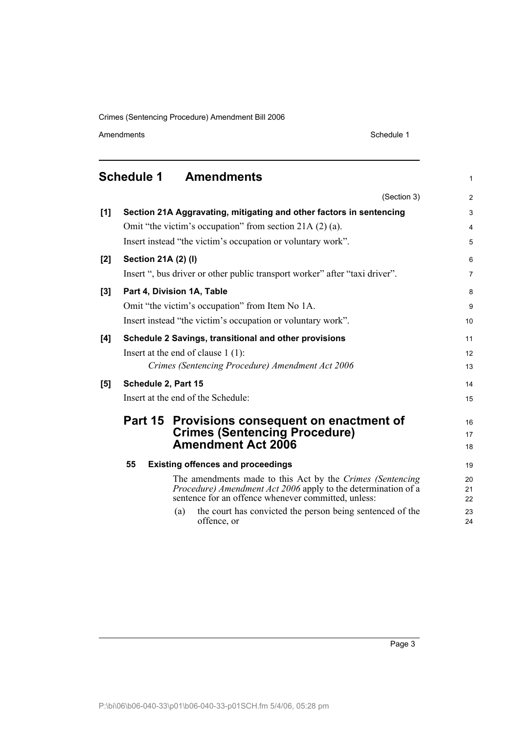Amendments Schedule 1

<span id="page-6-0"></span>

|       |                     | <b>Schedule 1 Amendments</b>                                                                                                                                                      | 1              |
|-------|---------------------|-----------------------------------------------------------------------------------------------------------------------------------------------------------------------------------|----------------|
|       |                     | (Section 3)                                                                                                                                                                       | $\overline{c}$ |
| [1]   |                     | Section 21A Aggravating, mitigating and other factors in sentencing                                                                                                               | 3              |
|       |                     | Omit "the victim's occupation" from section 21A (2) (a).                                                                                                                          | 4              |
|       |                     | Insert instead "the victim's occupation or voluntary work".                                                                                                                       | 5              |
| [2]   | Section 21A (2) (I) |                                                                                                                                                                                   | 6              |
|       |                     | Insert ", bus driver or other public transport worker" after "taxi driver".                                                                                                       | $\overline{7}$ |
| $[3]$ |                     | Part 4, Division 1A, Table                                                                                                                                                        | 8              |
|       |                     | Omit "the victim's occupation" from Item No 1A.                                                                                                                                   | 9              |
|       |                     | Insert instead "the victim's occupation or voluntary work".                                                                                                                       | 10             |
| [4]   |                     | Schedule 2 Savings, transitional and other provisions                                                                                                                             | 11             |
|       |                     | Insert at the end of clause $1(1)$ :                                                                                                                                              | 12             |
|       |                     | Crimes (Sentencing Procedure) Amendment Act 2006                                                                                                                                  | 13             |
| [5]   | Schedule 2, Part 15 |                                                                                                                                                                                   | 14             |
|       |                     | Insert at the end of the Schedule:                                                                                                                                                | 15             |
|       |                     | Part 15 Provisions consequent on enactment of                                                                                                                                     | 16             |
|       |                     | <b>Crimes (Sentencing Procedure)</b>                                                                                                                                              | 17             |
|       |                     | <b>Amendment Act 2006</b>                                                                                                                                                         | 18             |
|       | 55                  | <b>Existing offences and proceedings</b>                                                                                                                                          | 19             |
|       |                     | The amendments made to this Act by the Crimes (Sentencing<br>Procedure) Amendment Act 2006 apply to the determination of a<br>sentence for an offence whenever committed, unless: | 20<br>21<br>22 |
|       |                     | the court has convicted the person being sentenced of the<br>(a)<br>offence, or                                                                                                   | 23<br>24       |